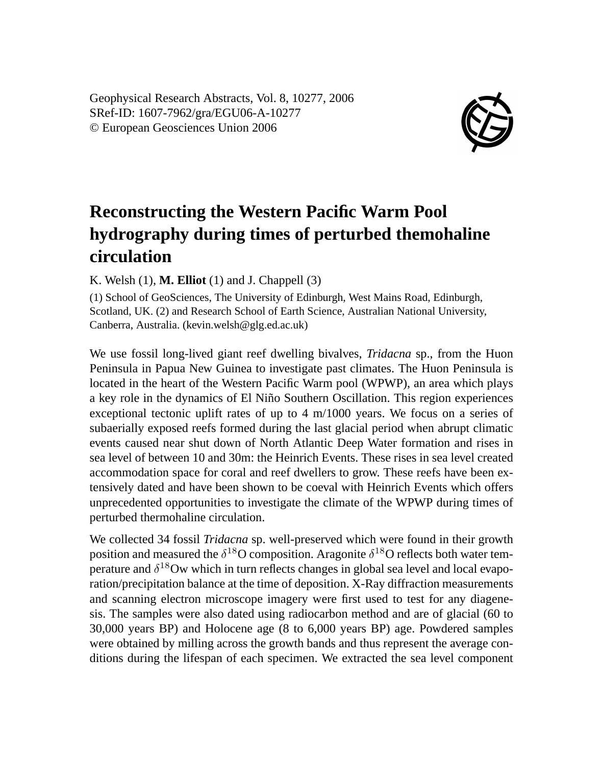Geophysical Research Abstracts, Vol. 8, 10277, 2006 SRef-ID: 1607-7962/gra/EGU06-A-10277 © European Geosciences Union 2006



## **Reconstructing the Western Pacific Warm Pool hydrography during times of perturbed themohaline circulation**

K. Welsh (1), **M. Elliot** (1) and J. Chappell (3)

(1) School of GeoSciences, The University of Edinburgh, West Mains Road, Edinburgh, Scotland, UK. (2) and Research School of Earth Science, Australian National University, Canberra, Australia. (kevin.welsh@glg.ed.ac.uk)

We use fossil long-lived giant reef dwelling bivalves, *Tridacna* sp., from the Huon Peninsula in Papua New Guinea to investigate past climates. The Huon Peninsula is located in the heart of the Western Pacific Warm pool (WPWP), an area which plays a key role in the dynamics of El Niño Southern Oscillation. This region experiences exceptional tectonic uplift rates of up to 4 m/1000 years. We focus on a series of subaerially exposed reefs formed during the last glacial period when abrupt climatic events caused near shut down of North Atlantic Deep Water formation and rises in sea level of between 10 and 30m: the Heinrich Events. These rises in sea level created accommodation space for coral and reef dwellers to grow. These reefs have been extensively dated and have been shown to be coeval with Heinrich Events which offers unprecedented opportunities to investigate the climate of the WPWP during times of perturbed thermohaline circulation.

We collected 34 fossil *Tridacna* sp. well-preserved which were found in their growth position and measured the  $\delta^{18}O$  composition. Aragonite  $\delta^{18}O$  reflects both water temperature and  $\delta^{18}$ Ow which in turn reflects changes in global sea level and local evaporation/precipitation balance at the time of deposition. X-Ray diffraction measurements and scanning electron microscope imagery were first used to test for any diagenesis. The samples were also dated using radiocarbon method and are of glacial (60 to 30,000 years BP) and Holocene age (8 to 6,000 years BP) age. Powdered samples were obtained by milling across the growth bands and thus represent the average conditions during the lifespan of each specimen. We extracted the sea level component